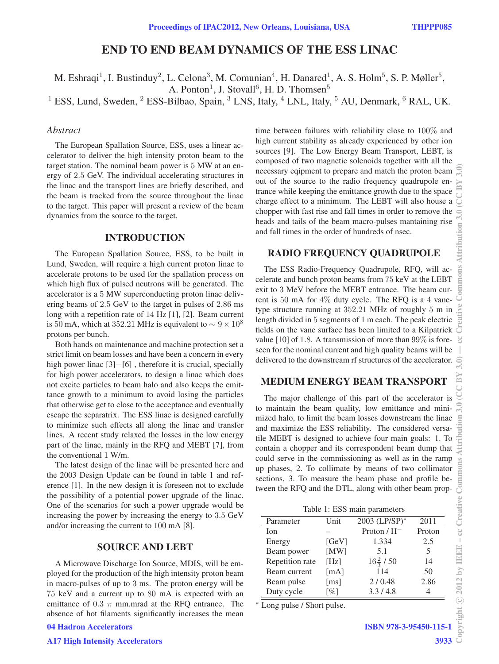# END TO END BEAM DYNAMICS OF THE ESS LINAC

M. Eshraqi<sup>1</sup>, I. Bustinduy<sup>2</sup>, L. Celona<sup>3</sup>, M. Comunian<sup>4</sup>, H. Danared<sup>1</sup>, A. S. Holm<sup>5</sup>, S. P. Møller<sup>5</sup>,

A. Ponton<sup>1</sup>, J. Stovall<sup>6</sup>, H. D. Thomsen<sup>5</sup>

<sup>1</sup> ESS, Lund, Sweden, <sup>2</sup> ESS-Bilbao, Spain, <sup>3</sup> LNS, Italy, <sup>4</sup> LNL, Italy, <sup>5</sup> AU, Denmark, <sup>6</sup> RAL, UK.

### *Abstract*

The European Spallation Source, ESS, uses a linear accelerator to deliver the high intensity proton beam to the target station. The nominal beam power is 5 MW at an energy of 2.5 GeV. The individual accelerating structures in the linac and the transport lines are briefly described, and the beam is tracked from the source throughout the linac to the target. This paper will present a review of the beam dynamics from the source to the target.

### INTRODUCTION

The European Spallation Source, ESS, to be built in Lund, Sweden, will require a high current proton linac to accelerate protons to be used for the spallation process on which high flux of pulsed neutrons will be generated. The accelerator is a 5 MW superconducting proton linac delivering beams of 2.5 GeV to the target in pulses of 2.86 ms long with a repetition rate of 14 Hz [1], [2]. Beam current is 50 mA, which at 352.21 MHz is equivalent to  $\sim$  9 × 10<sup>8</sup> protons per bunch.

Both hands on maintenance and machine protection set a strict limit on beam losses and have been a concern in every high power linac [3]−[6], therefore it is crucial, specially for high power accelerators, to design a linac which does not excite particles to beam halo and also keeps the emittance growth to a minimum to avoid losing the particles that otherwise get to close to the acceptance and eventually escape the separatrix. The ESS linac is designed carefully to minimize such effects all along the linac and transfer lines. A recent study relaxed the losses in the low energy part of the linac, mainly in the RFQ and MEBT [7], from the conventional 1 W/m.

The latest design of the linac will be presented here and the 2003 Design Update can be found in table 1 and reference [1]. In the new design it is foreseen not to exclude the possibility of a potential power upgrade of the linac. One of the scenarios for such a power upgrade would be increasing the power by increasing the energy to 3.5 GeV and/or increasing the current to 100 mA [8].

### SOURCE AND LEBT

A Microwave Discharge Ion Source, MDIS, will be employed for the production of the high intensity proton beam in macro-pulses of up to 3 ms. The proton energy will be 75 keV and a current up to 80 mA is expected with an emittance of 0.3  $\pi$  mm.mrad at the RFQ entrance. The absence of hot filaments significantly increases the mean time between failures with reliability close to 100% and high current stability as already experienced by other ion sources [9]. The Low Energy Beam Transport, LEBT, is composed of two magnetic solenoids together with all the necessary eqipment to prepare and match the proton beam out of the source to the radio frequency quadrupole entrance while keeping the emittance growth due to the space charge effect to a minimum. The LEBT will also house a chopper with fast rise and fall times in order to remove the heads and tails of the beam macro-pulses mantaining rise and fall times in the order of hundreds of nsec.

# RADIO FREQUENCY QUADRUPOLE

The ESS Radio-Frequency Quadrupole, RFQ, will accelerate and bunch proton beams from 75 keV at the LEBT exit to 3 MeV before the MEBT entrance. The beam current is 50 mA for 4% duty cycle. The RFQ is a 4 vanetype structure running at 352.21 MHz of roughly 5 m in length divided in 5 segments of 1 m each. The peak electric fields on the vane surface has been limited to a Kilpatrick value [10] of 1.8. A transmission of more than  $99\%$  is foreseen for the nominal current and high quality beams will be delivered to the downstream rf structures of the accelerator.

# MEDIUM ENERGY BEAM TRANSPORT

The major challenge of this part of the accelerator is to maintain the beam quality, low emittance and minimized halo, to limit the beam losses downstream the linac and maximize the ESS reliability. The considered versatile MEBT is designed to achieve four main goals: 1. To contain a chopper and its correspondent beam dump that could serve in the commissioning as well as in the ramp up phases, 2. To collimate by means of two collimator sections, 3. To measure the beam phase and profile between the RFQ and the DTL, along with other beam prop-

Table 1: ESS main parameters

| Parameter       | Unit               | 2003 (LP/SP)*        | 2011   |
|-----------------|--------------------|----------------------|--------|
| <b>Ion</b>      |                    | Proton $/H^-$        | Proton |
| Energy          | [GeV]              | 1.334                | 2.5    |
| Beam power      | [MW]               | 5.1                  | 5      |
| Repetition rate | [Hz]               | $16\frac{2}{3}$ / 50 | 14     |
| Beam current    | [mA]               | 114                  | 50     |
| Beam pulse      | $\lceil ms \rceil$ | 2/0.48               | 2.86   |
| Duty cycle      | [%]                | 3.3/4.8              |        |

<sup>∗</sup> Long pulse / Short pulse.

ISBN 978-3-95450-115-1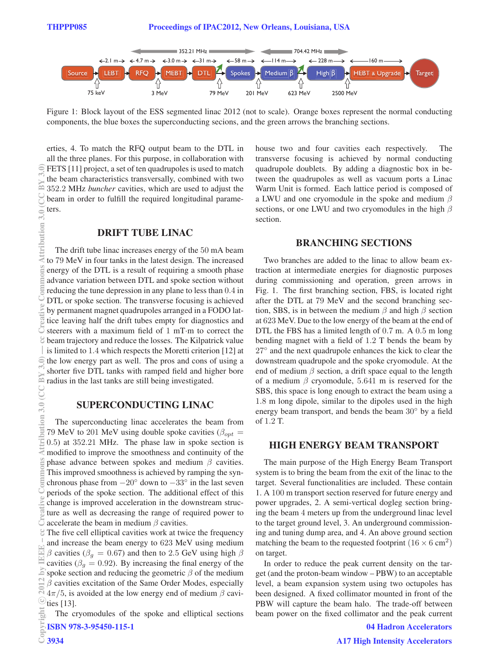$\equiv$ 

tribution

Ĕ Ě

g

 $\approx$ 

 $3.0$ 

ribution



Figure 1: Block layout of the ESS segmented linac 2012 (not to scale). Orange boxes represent the normal conducting components, the blue boxes the superconducting secions, and the green arrows the branching sections.

erties, 4. To match the RFQ output beam to the DTL in all the three planes. For this purpose, in collaboration with FETS [11] project, a set of ten quadrupoles is used to match the beam characteristics transversally, combined with two 352.2 MHz *buncher* cavities, which are used to adjust the beam in order to fulfill the required longitudinal parameters.

### DRIFT TUBE LINAC

The drift tube linac increases energy of the 50 mA beam to 79 MeV in four tanks in the latest design. The increased energy of the DTL is a result of requiring a smooth phase advance variation between DTL and spoke section without reducing the tune depression in any plane to less than 0.4 in DTL or spoke section. The transverse focusing is achieved by permanent magnet quadrupoles arranged in a FODO lattice leaving half the drift tubes empty for diagnostics and steerers with a maximum field of 1 mT·m to correct the beam trajectory and reduce the losses. The Kilpatrick value is limited to 1.4 which respects the Moretti criterion [12] at the low energy part as well. The pros and cons of using a shorter five DTL tanks with ramped field and higher bore radius in the last tanks are still being investigated. (0°ς MA ∪∪) 0°ς uophaquiwe Suouuuo∪ a>yazhou)3.0 (0°ς MA ∪∪) 0°ς uophaquiwe Suouuuo∪ a>yazhou a α T ar β α sy β 4.5<br>■ h 3.0 (CC By 3.0 (CC BY 3.0) D 3.0 (CC BY 3.0 (CC BY 3.0) 0°ς common Suouuuo∪ 3.0 (CC BY 3.0) D 3.0 (

### SUPERCONDUCTING LINAC

The superconducting linac accelerates the beam from 79 MeV to 201 MeV using double spoke cavities ( $\beta_{opt}$  = 0.5) at 352.21 MHz. The phase law in spoke section is modified to improve the smoothness and continuity of the phase advance between spokes and medium  $\beta$  cavities. This improved smoothness is achieved by ramping the synchronous phase from  $-20°$  down to  $-33°$  in the last seven periods of the spoke section. The additional effect of this change is improved acceleration in the downstream structure as well as decreasing the range of required power to accelerate the beam in medium  $\beta$  cavities.

The five cell elliptical cavities work at twice the frequency and increase the beam energy to 623 MeV using medium β cavities ( $β<sub>q</sub> = 0.67$ ) and then to 2.5 GeV using high β cavities ( $\beta_q = 0.92$ ). By increasing the final energy of the spoke section and reducing the geometric  $\beta$  of the medium ž  $\beta$  cavities excitation of the Same Order Modes, especially  $4\pi/5$ , is avoided at the low energy end of medium  $\beta$  cavic○ties [13].

The cryomodules of the spoke and elliptical sections ISBN 978-3-95450-115-1

house two and four cavities each respectively. The transverse focusing is achieved by normal conducting quadrupole doublets. By adding a diagnostic box in between the quadrupoles as well as vacuum ports a Linac Warm Unit is formed. Each lattice period is composed of a LWU and one cryomodule in the spoke and medium  $\beta$ sections, or one LWU and two cryomodules in the high  $\beta$ section.

#### BRANCHING SECTIONS

Two branches are added to the linac to allow beam extraction at intermediate energies for diagnostic purposes during commissioning and operation, green arrows in Fig. 1. The first branching section, FBS, is located right after the DTL at 79 MeV and the second branching section, SBS, is in between the medium  $\beta$  and high  $\beta$  section at 623 MeV. Due to the low energy of the beam at the end of DTL the FBS has a limited length of 0.7 m. A 0.5 m long bending magnet with a field of 1.2 T bends the beam by 27° and the next quadrupole enhances the kick to clear the downstream quadrupole and the spoke cryomodule. At the end of medium  $\beta$  section, a drift space equal to the length of a medium  $\beta$  cryomodule, 5.641 m is reserved for the SBS, this space is long enough to extract the beam using a 1.8 m long dipole, similar to the dipoles used in the high energy beam transport, and bends the beam 30◦ by a field of 1.2 T.

#### HIGH ENERGY BEAM TRANSPORT

The main purpose of the High Energy Beam Transport system is to bring the beam from the exit of the linac to the target. Several functionalities are included. These contain 1. A 100 m transport section reserved for future energy and power upgrades, 2. A semi-vertical dogleg section bringing the beam 4 meters up from the underground linac level to the target ground level, 3. An underground commissioning and tuning dump area, and 4. An above ground section matching the beam to the requested footprint  $(16 \times 6 \text{ cm}^2)$ on target.

In order to reduce the peak current density on the target (and the proton-beam window – PBW) to an acceptable level, a beam expansion system using two octupoles has been designed. A fixed collimator mounted in front of the PBW will capture the beam halo. The trade-off between beam power on the fixed collimator and the peak current